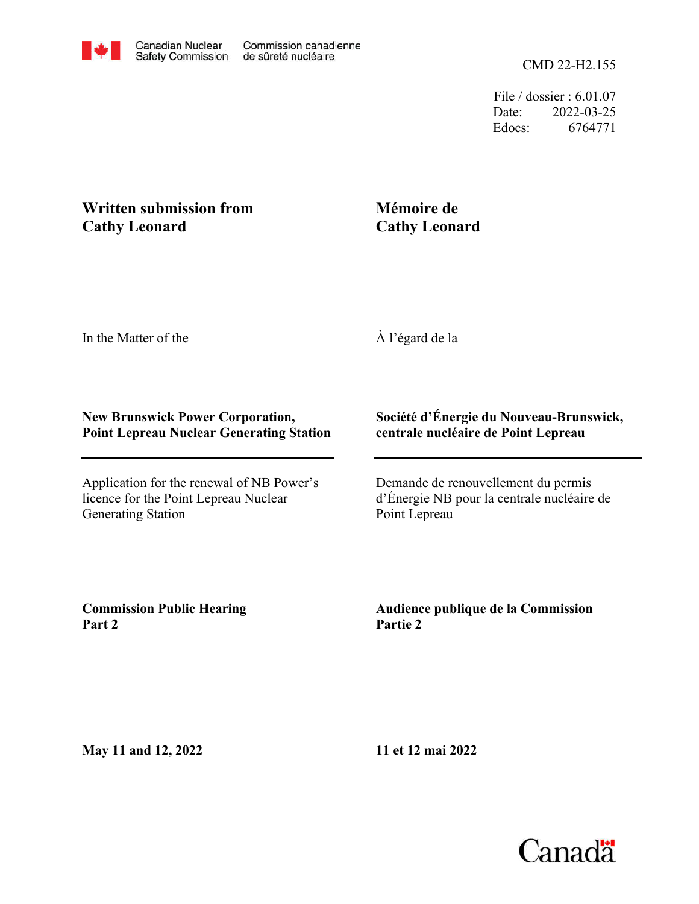File / dossier : 6.01.07 Date: 2022-03-25 Edocs: 6764771

# **Cathy Leonard Written submission from**

# **Mémoire de Cathy Leonard**

In the Matter of the

À l'égard de la

#### **New Brunswick Power Corporation, Point Lepreau Nuclear Generating Station**

Application for the renewal of NB Power's licence for the Point Lepreau Nuclear Generating Station

### **Société d'Énergie du Nouveau-Brunswick, centrale nucléaire de Point Lepreau**

Demande de renouvellement du permis d'Énergie NB pour la centrale nucléaire de Point Lepreau

**Commission Public Hearing Part 2**

**Audience publique de la Commission Partie 2**

**May 11 and 12, 2022**

**11 et 12 mai 2022**

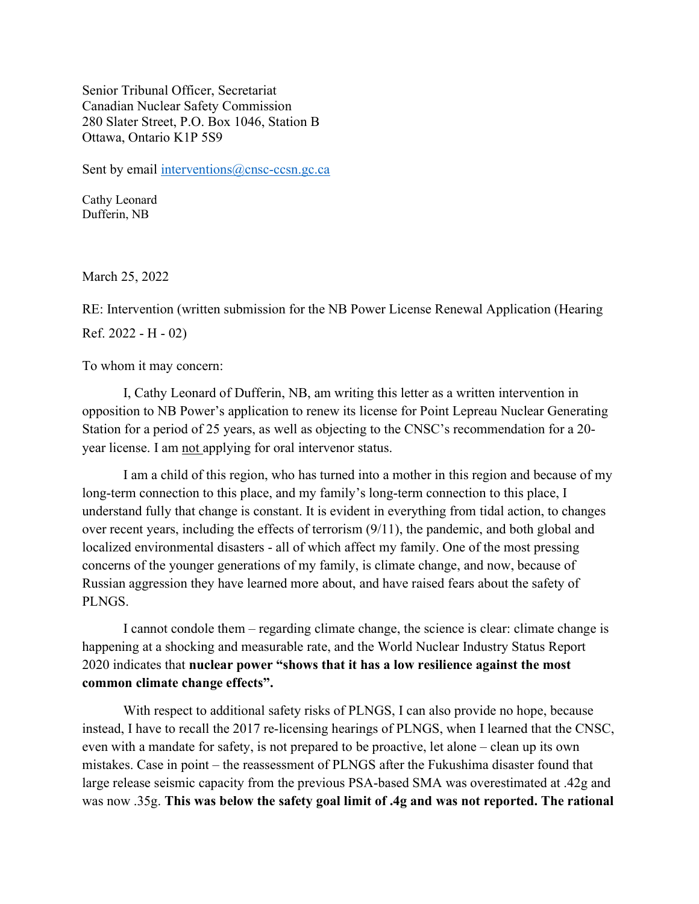Senior Tribunal Officer, Secretariat Canadian Nuclear Safety Commission 280 Slater Street, P.O. Box 1046, Station B Ottawa, Ontario K1P 5S9

Sent by email interventions@cnsc-ccsn.gc.ca

Cathy Leonard Dufferin, NB

March 25, 2022

RE: Intervention (written submission for the NB Power License Renewal Application (Hearing Ref. 2022 - H - 02)

To whom it may concern:

I, Cathy Leonard of Dufferin, NB, am writing this letter as a written intervention in opposition to NB Power's application to renew its license for Point Lepreau Nuclear Generating Station for a period of 25 years, as well as objecting to the CNSC's recommendation for a 20 year license. I am not applying for oral intervenor status.

I am a child of this region, who has turned into a mother in this region and because of my long-term connection to this place, and my family's long-term connection to this place, I understand fully that change is constant. It is evident in everything from tidal action, to changes over recent years, including the effects of terrorism (9/11), the pandemic, and both global and localized environmental disasters - all of which affect my family. One of the most pressing concerns of the younger generations of my family, is climate change, and now, because of Russian aggression they have learned more about, and have raised fears about the safety of PLNGS.

I cannot condole them – regarding climate change, the science is clear: climate change is happening at a shocking and measurable rate, and the World Nuclear Industry Status Report 2020 indicates that nuclear power "shows that it has a low resilience against the most common climate change effects".

With respect to additional safety risks of PLNGS, I can also provide no hope, because instead, I have to recall the 2017 re-licensing hearings of PLNGS, when I learned that the CNSC, even with a mandate for safety, is not prepared to be proactive, let alone – clean up its own mistakes. Case in point – the reassessment of PLNGS after the Fukushima disaster found that large release seismic capacity from the previous PSA-based SMA was overestimated at .42g and was now .35g. This was below the safety goal limit of .4g and was not reported. The rational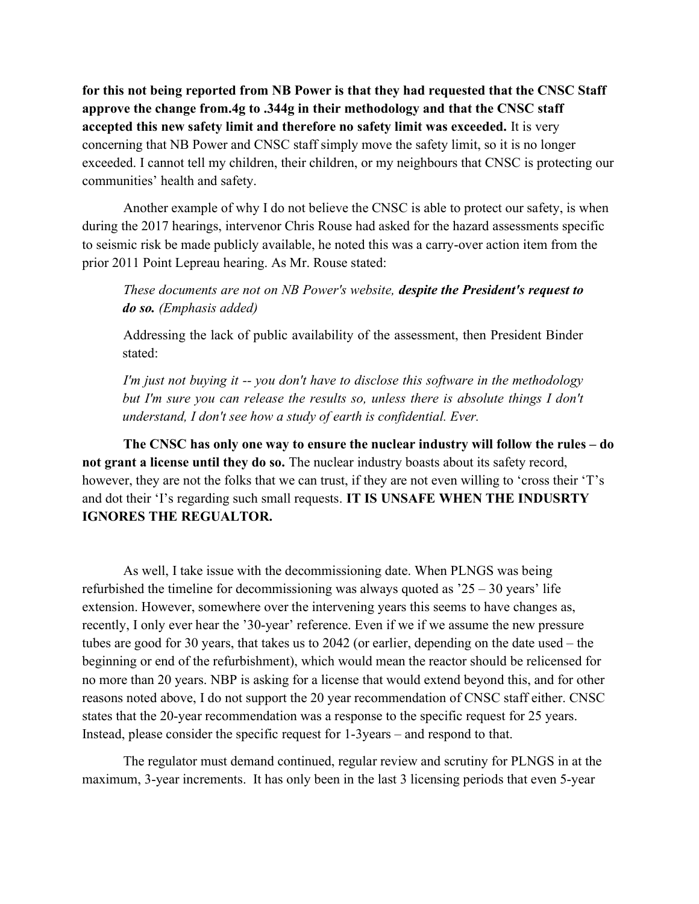for this not being reported from NB Power is that they had requested that the CNSC Staff approve the change from.4g to .344g in their methodology and that the CNSC staff accepted this new safety limit and therefore no safety limit was exceeded. It is very concerning that NB Power and CNSC staff simply move the safety limit, so it is no longer exceeded. I cannot tell my children, their children, or my neighbours that CNSC is protecting our communities' health and safety.

Another example of why I do not believe the CNSC is able to protect our safety, is when during the 2017 hearings, intervenor Chris Rouse had asked for the hazard assessments specific to seismic risk be made publicly available, he noted this was a carry-over action item from the prior 2011 Point Lepreau hearing. As Mr. Rouse stated:

These documents are not on NB Power's website, despite the President's request to do so. (Emphasis added)

Addressing the lack of public availability of the assessment, then President Binder stated:

I'm just not buying it -- you don't have to disclose this software in the methodology but I'm sure you can release the results so, unless there is absolute things I don't understand, I don't see how a study of earth is confidential. Ever.

The CNSC has only one way to ensure the nuclear industry will follow the rules – do not grant a license until they do so. The nuclear industry boasts about its safety record, however, they are not the folks that we can trust, if they are not even willing to 'cross their 'T's and dot their 'I's regarding such small requests. IT IS UNSAFE WHEN THE INDUSRTY IGNORES THE REGUALTOR.

As well, I take issue with the decommissioning date. When PLNGS was being refurbished the timeline for decommissioning was always quoted as  $25 - 30$  years' life extension. However, somewhere over the intervening years this seems to have changes as, recently, I only ever hear the '30-year' reference. Even if we if we assume the new pressure tubes are good for 30 years, that takes us to 2042 (or earlier, depending on the date used – the beginning or end of the refurbishment), which would mean the reactor should be relicensed for no more than 20 years. NBP is asking for a license that would extend beyond this, and for other reasons noted above, I do not support the 20 year recommendation of CNSC staff either. CNSC states that the 20-year recommendation was a response to the specific request for 25 years. Instead, please consider the specific request for 1-3years – and respond to that.

The regulator must demand continued, regular review and scrutiny for PLNGS in at the maximum, 3-year increments. It has only been in the last 3 licensing periods that even 5-year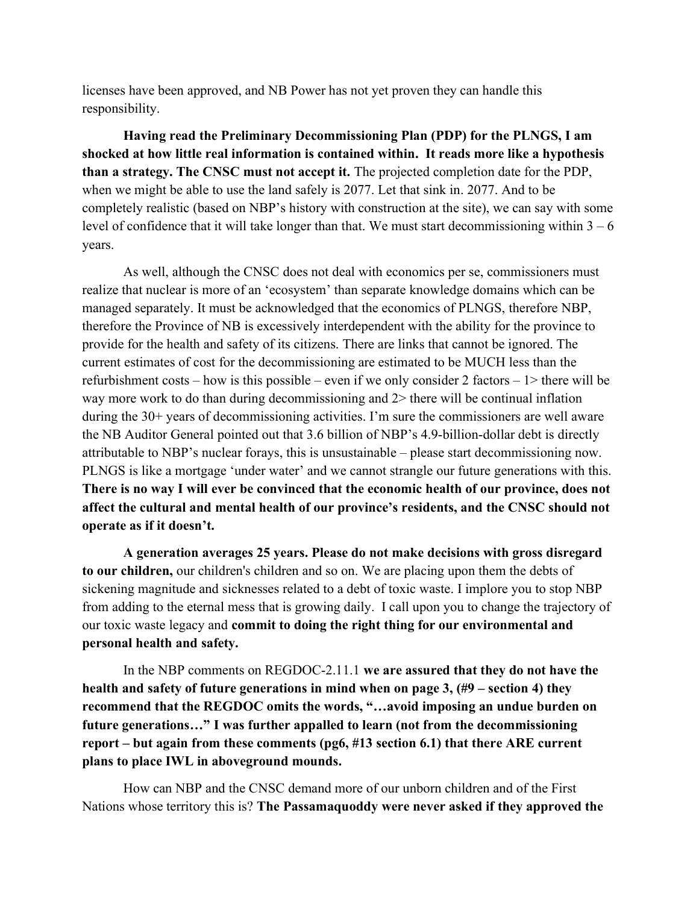licenses have been approved, and NB Power has not yet proven they can handle this responsibility.

Having read the Preliminary Decommissioning Plan (PDP) for the PLNGS, I am shocked at how little real information is contained within. It reads more like a hypothesis than a strategy. The CNSC must not accept it. The projected completion date for the PDP, when we might be able to use the land safely is 2077. Let that sink in. 2077. And to be completely realistic (based on NBP's history with construction at the site), we can say with some level of confidence that it will take longer than that. We must start decommissioning within  $3 - 6$ years.

As well, although the CNSC does not deal with economics per se, commissioners must realize that nuclear is more of an 'ecosystem' than separate knowledge domains which can be managed separately. It must be acknowledged that the economics of PLNGS, therefore NBP, therefore the Province of NB is excessively interdependent with the ability for the province to provide for the health and safety of its citizens. There are links that cannot be ignored. The current estimates of cost for the decommissioning are estimated to be MUCH less than the refurbishment costs – how is this possible – even if we only consider 2 factors –  $1$  there will be way more work to do than during decommissioning and 2> there will be continual inflation during the 30+ years of decommissioning activities. I'm sure the commissioners are well aware the NB Auditor General pointed out that 3.6 billion of NBP's 4.9-billion-dollar debt is directly attributable to NBP's nuclear forays, this is unsustainable – please start decommissioning now. PLNGS is like a mortgage 'under water' and we cannot strangle our future generations with this. There is no way I will ever be convinced that the economic health of our province, does not affect the cultural and mental health of our province's residents, and the CNSC should not operate as if it doesn't.

A generation averages 25 years. Please do not make decisions with gross disregard to our children, our children's children and so on. We are placing upon them the debts of sickening magnitude and sicknesses related to a debt of toxic waste. I implore you to stop NBP from adding to the eternal mess that is growing daily. I call upon you to change the trajectory of our toxic waste legacy and commit to doing the right thing for our environmental and personal health and safety.

In the NBP comments on REGDOC-2.11.1 we are assured that they do not have the health and safety of future generations in mind when on page 3, (#9 – section 4) they recommend that the REGDOC omits the words, "…avoid imposing an undue burden on future generations…" I was further appalled to learn (not from the decommissioning report – but again from these comments (pg6, #13 section 6.1) that there ARE current plans to place IWL in aboveground mounds.

How can NBP and the CNSC demand more of our unborn children and of the First Nations whose territory this is? The Passamaquoddy were never asked if they approved the